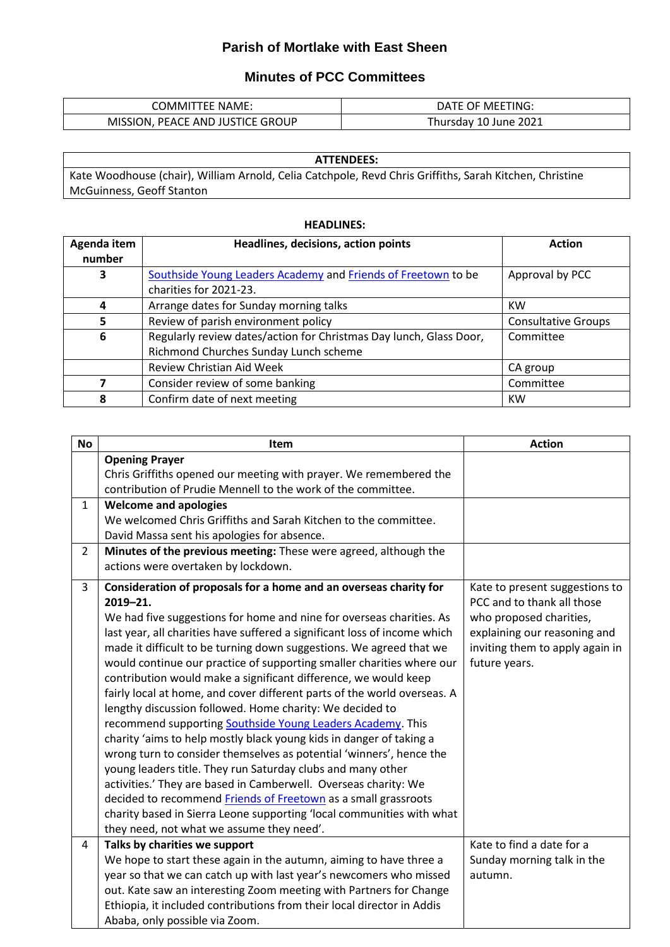## **Parish of Mortlake with East Sheen**

## **Minutes of PCC Committees**

| <b>COMMITTEE NAME:</b>           | DATE OF MEETING:      |
|----------------------------------|-----------------------|
| MISSION, PEACE AND JUSTICE GROUP | Thursday 10 June 2021 |

| <b>ATTENDEES:</b>                                                                                       |  |  |
|---------------------------------------------------------------------------------------------------------|--|--|
| Kate Woodhouse (chair), William Arnold, Celia Catchpole, Revd Chris Griffiths, Sarah Kitchen, Christine |  |  |
| McGuinness, Geoff Stanton                                                                               |  |  |

## **HEADLINES:**

| Agenda item | Headlines, decisions, action points                                | <b>Action</b>              |
|-------------|--------------------------------------------------------------------|----------------------------|
| number      |                                                                    |                            |
| 3           | Southside Young Leaders Academy and Friends of Freetown to be      | Approval by PCC            |
|             | charities for 2021-23.                                             |                            |
| 4           | Arrange dates for Sunday morning talks                             | KW                         |
| 5           | Review of parish environment policy                                | <b>Consultative Groups</b> |
| 6           | Regularly review dates/action for Christmas Day lunch, Glass Door, | Committee                  |
|             | Richmond Churches Sunday Lunch scheme                              |                            |
|             | <b>Review Christian Aid Week</b>                                   | CA group                   |
|             | Consider review of some banking                                    | Committee                  |
| 8           | Confirm date of next meeting                                       | KW                         |

| <b>No</b>      | Item                                                                      | <b>Action</b>                   |
|----------------|---------------------------------------------------------------------------|---------------------------------|
|                | <b>Opening Prayer</b>                                                     |                                 |
|                | Chris Griffiths opened our meeting with prayer. We remembered the         |                                 |
|                | contribution of Prudie Mennell to the work of the committee.              |                                 |
| $\mathbf{1}$   | <b>Welcome and apologies</b>                                              |                                 |
|                | We welcomed Chris Griffiths and Sarah Kitchen to the committee.           |                                 |
|                | David Massa sent his apologies for absence.                               |                                 |
| $\overline{2}$ | Minutes of the previous meeting: These were agreed, although the          |                                 |
|                | actions were overtaken by lockdown.                                       |                                 |
| 3              | Consideration of proposals for a home and an overseas charity for         | Kate to present suggestions to  |
|                | $2019 - 21.$                                                              | PCC and to thank all those      |
|                | We had five suggestions for home and nine for overseas charities. As      | who proposed charities,         |
|                | last year, all charities have suffered a significant loss of income which | explaining our reasoning and    |
|                | made it difficult to be turning down suggestions. We agreed that we       | inviting them to apply again in |
|                | would continue our practice of supporting smaller charities where our     | future years.                   |
|                | contribution would make a significant difference, we would keep           |                                 |
|                | fairly local at home, and cover different parts of the world overseas. A  |                                 |
|                | lengthy discussion followed. Home charity: We decided to                  |                                 |
|                | recommend supporting Southside Young Leaders Academy. This                |                                 |
|                | charity 'aims to help mostly black young kids in danger of taking a       |                                 |
|                | wrong turn to consider themselves as potential 'winners', hence the       |                                 |
|                | young leaders title. They run Saturday clubs and many other               |                                 |
|                | activities.' They are based in Camberwell. Overseas charity: We           |                                 |
|                | decided to recommend Friends of Freetown as a small grassroots            |                                 |
|                | charity based in Sierra Leone supporting 'local communities with what     |                                 |
|                | they need, not what we assume they need'.                                 |                                 |
| 4              | Talks by charities we support                                             | Kate to find a date for a       |
|                | We hope to start these again in the autumn, aiming to have three a        | Sunday morning talk in the      |
|                | year so that we can catch up with last year's newcomers who missed        | autumn.                         |
|                | out. Kate saw an interesting Zoom meeting with Partners for Change        |                                 |
|                | Ethiopia, it included contributions from their local director in Addis    |                                 |
|                | Ababa, only possible via Zoom.                                            |                                 |